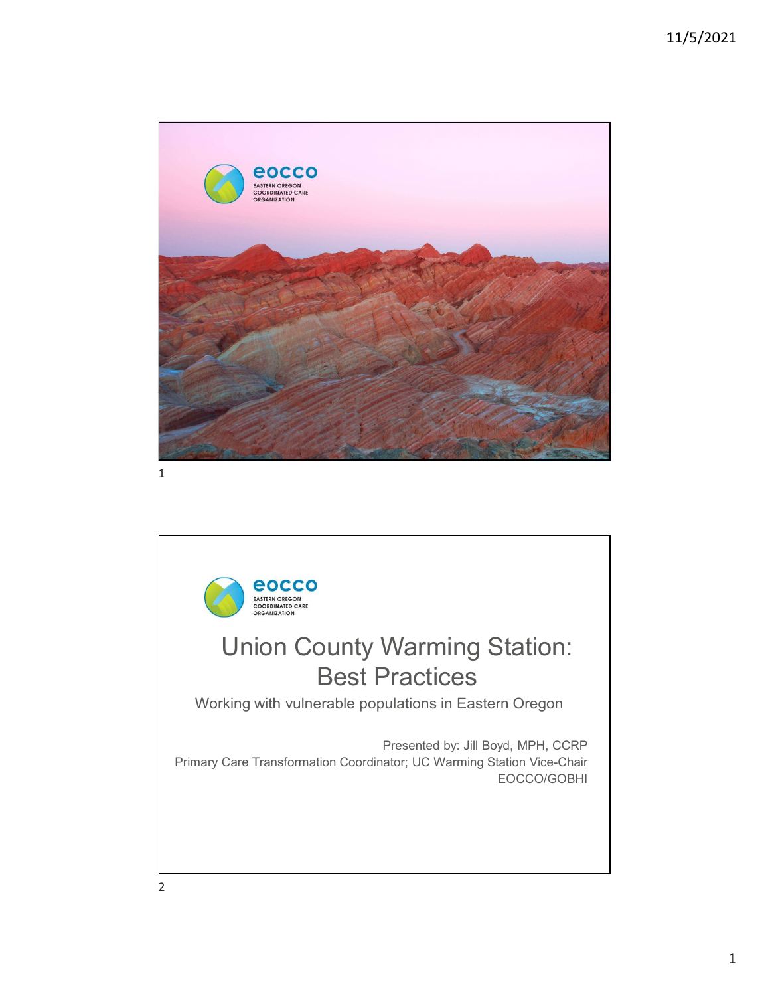



2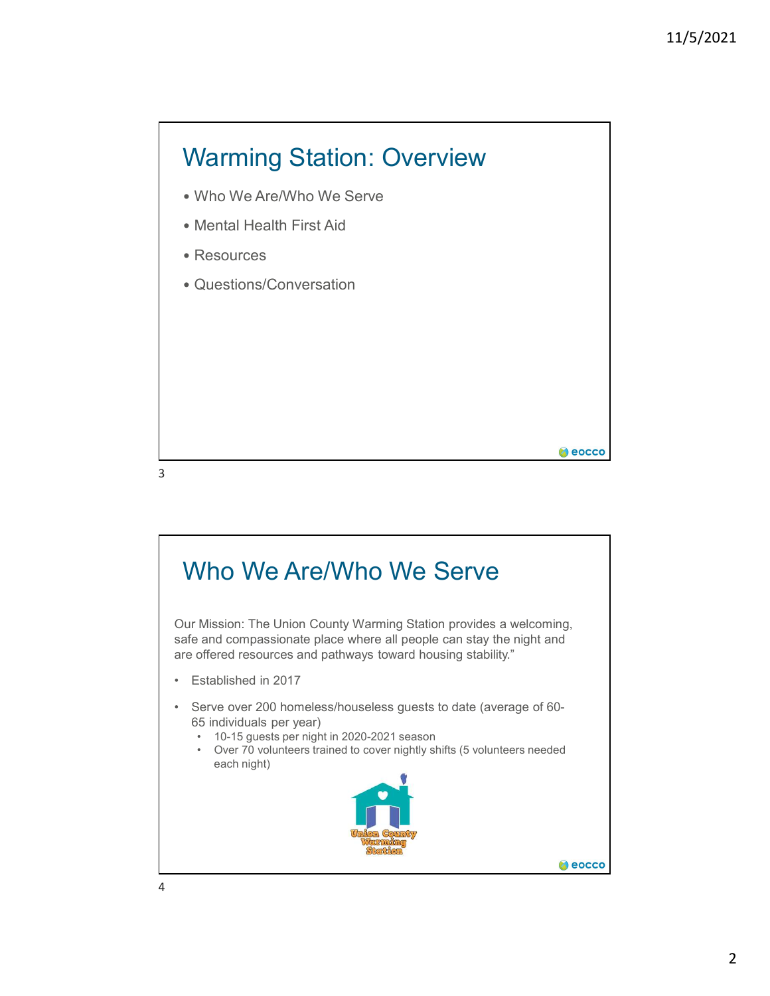

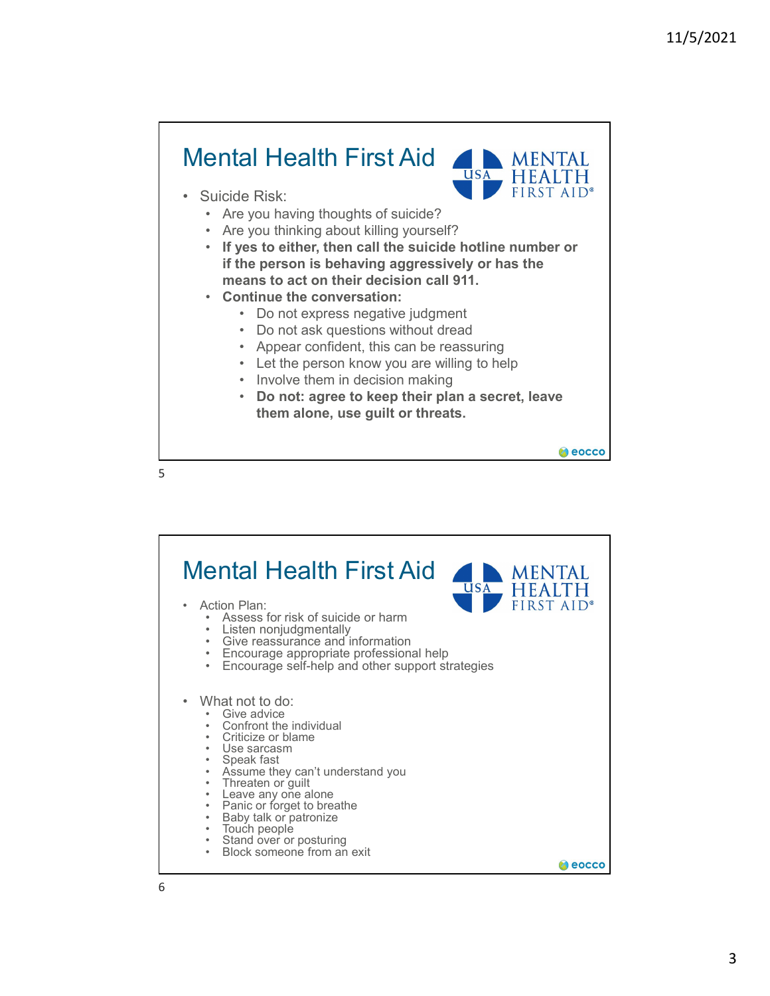

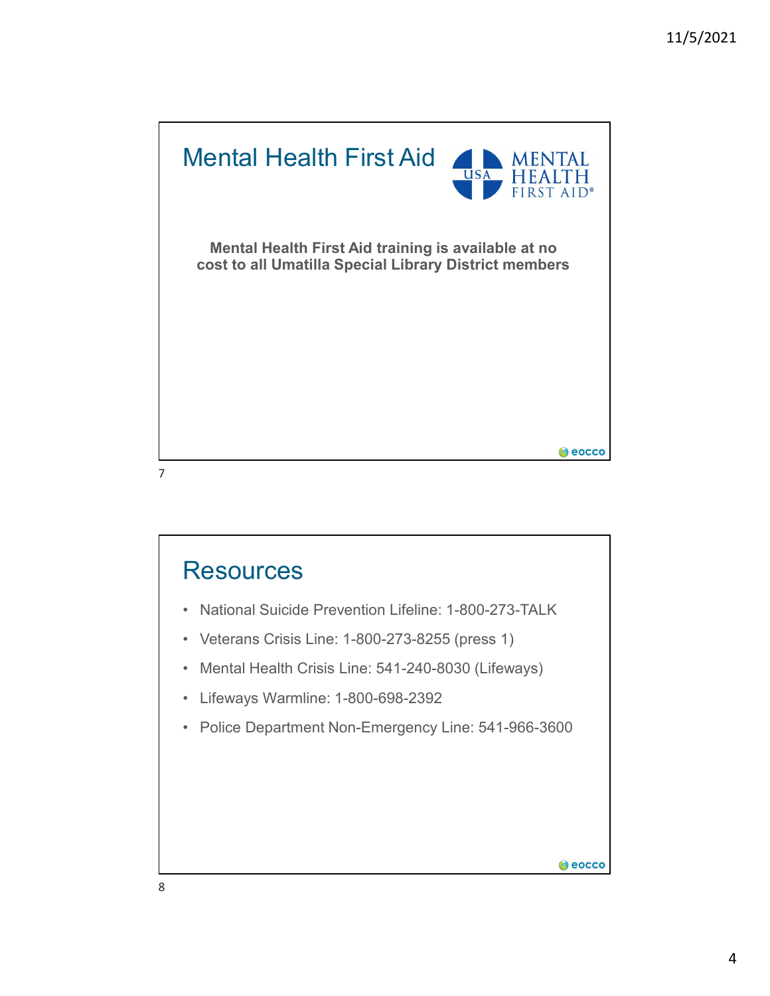